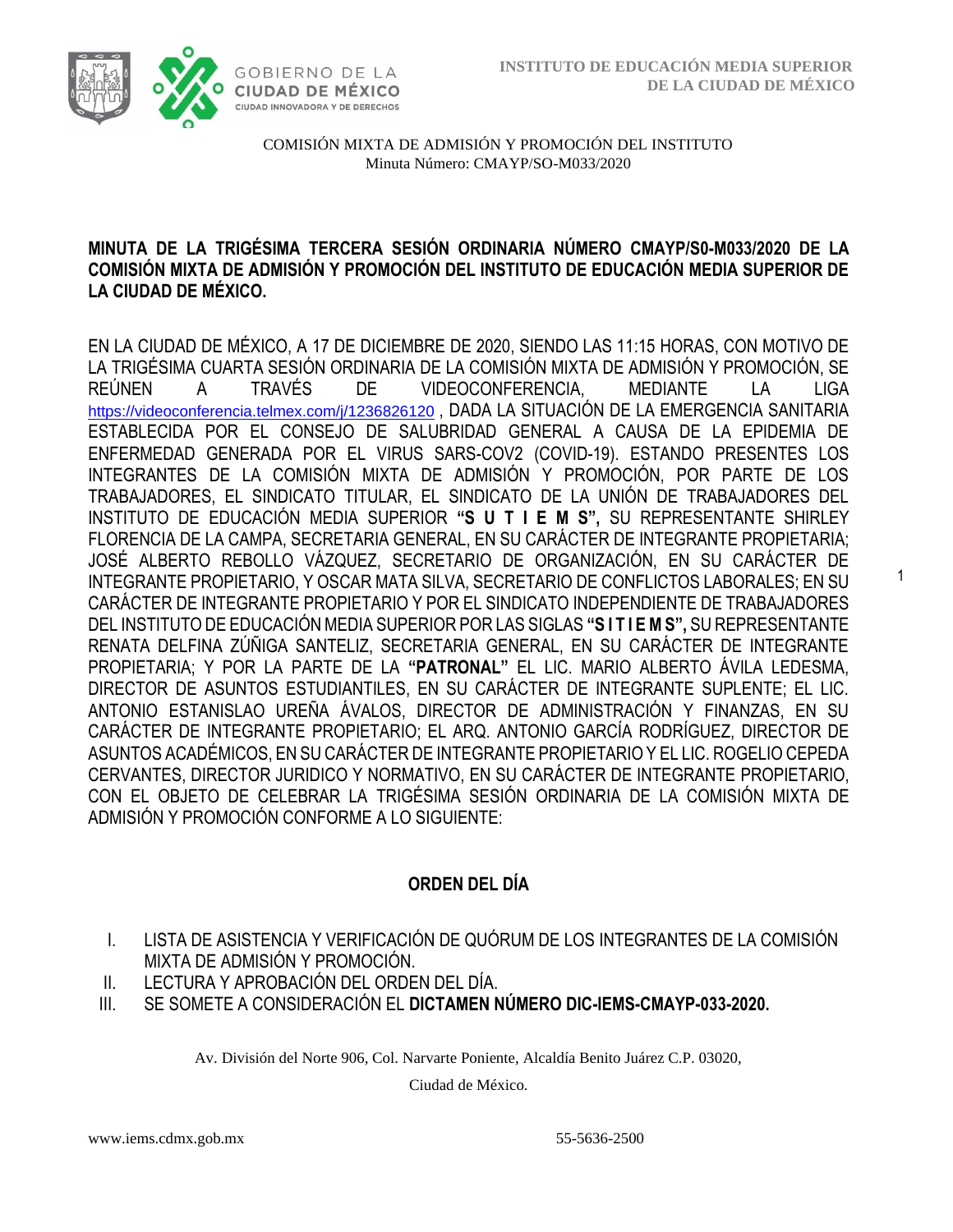1



COMISIÓN MIXTA DE ADMISIÓN Y PROMOCIÓN DEL INSTITUTO Minuta Número: CMAYP/SO-M033/2020

### **MINUTA DE LA TRIGÉSIMA TERCERA SESIÓN ORDINARIA NÚMERO CMAYP/S0-M033/2020 DE LA COMISIÓN MIXTA DE ADMISIÓN Y PROMOCIÓN DEL INSTITUTO DE EDUCACIÓN MEDIA SUPERIOR DE LA CIUDAD DE MÉXICO.**

EN LA CIUDAD DE MÉXICO, A 17 DE DICIEMBRE DE 2020, SIENDO LAS 11:15 HORAS, CON MOTIVO DE LA TRIGÉSIMA CUARTA SESIÓN ORDINARIA DE LA COMISIÓN MIXTA DE ADMISIÓN Y PROMOCIÓN, SE REÚNEN A TRAVÉS DE VIDEOCONFERENCIA, MEDIANTE LA LIGA <https://videoconferencia.telmex.com/j/1236826120> , DADA LA SITUACIÓN DE LA EMERGENCIA SANITARIA ESTABLECIDA POR EL CONSEJO DE SALUBRIDAD GENERAL A CAUSA DE LA EPIDEMIA DE ENFERMEDAD GENERADA POR EL VIRUS SARS-COV2 (COVID-19). ESTANDO PRESENTES LOS INTEGRANTES DE LA COMISIÓN MIXTA DE ADMISIÓN Y PROMOCIÓN, POR PARTE DE LOS TRABAJADORES, EL SINDICATO TITULAR, EL SINDICATO DE LA UNIÓN DE TRABAJADORES DEL INSTITUTO DE EDUCACIÓN MEDIA SUPERIOR **"S U T I E M S",** SU REPRESENTANTE SHIRLEY FLORENCIA DE LA CAMPA, SECRETARIA GENERAL, EN SU CARÁCTER DE INTEGRANTE PROPIETARIA; JOSÉ ALBERTO REBOLLO VÁZQUEZ, SECRETARIO DE ORGANIZACIÓN, EN SU CARÁCTER DE INTEGRANTE PROPIETARIO, Y OSCAR MATA SILVA, SECRETARIO DE CONFLICTOS LABORALES; EN SU CARÁCTER DE INTEGRANTE PROPIETARIO Y POR EL SINDICATO INDEPENDIENTE DE TRABAJADORES DEL INSTITUTO DE EDUCACIÓN MEDIA SUPERIOR POR LAS SIGLAS **"S I T I E M S",** SU REPRESENTANTE RENATA DELFINA ZÚÑIGA SANTELIZ, SECRETARIA GENERAL, EN SU CARÁCTER DE INTEGRANTE PROPIETARIA; Y POR LA PARTE DE LA **"PATRONAL"** EL LIC. MARIO ALBERTO ÁVILA LEDESMA, DIRECTOR DE ASUNTOS ESTUDIANTILES, EN SU CARÁCTER DE INTEGRANTE SUPLENTE; EL LIC. ANTONIO ESTANISLAO UREÑA ÁVALOS, DIRECTOR DE ADMINISTRACIÓN Y FINANZAS, EN SU CARÁCTER DE INTEGRANTE PROPIETARIO; EL ARQ. ANTONIO GARCÍA RODRÍGUEZ, DIRECTOR DE ASUNTOS ACADÉMICOS, EN SU CARÁCTER DE INTEGRANTE PROPIETARIO Y EL LIC. ROGELIO CEPEDA CERVANTES, DIRECTOR JURIDICO Y NORMATIVO, EN SU CARÁCTER DE INTEGRANTE PROPIETARIO, CON EL OBJETO DE CELEBRAR LA TRIGÉSIMA SESIÓN ORDINARIA DE LA COMISIÓN MIXTA DE ADMISIÓN Y PROMOCIÓN CONFORME A LO SIGUIENTE:

# **ORDEN DEL DÍA**

- I. LISTA DE ASISTENCIA Y VERIFICACIÓN DE QUÓRUM DE LOS INTEGRANTES DE LA COMISIÓN MIXTA DE ADMISIÓN Y PROMOCIÓN.
- II. LECTURA Y APROBACIÓN DEL ORDEN DEL DÍA.
- III. SE SOMETE A CONSIDERACIÓN EL **DICTAMEN NÚMERO DIC-IEMS-CMAYP-033-2020.**

Av. División del Norte 906, Col. Narvarte Poniente, Alcaldía Benito Juárez C.P. 03020,

Ciudad de México.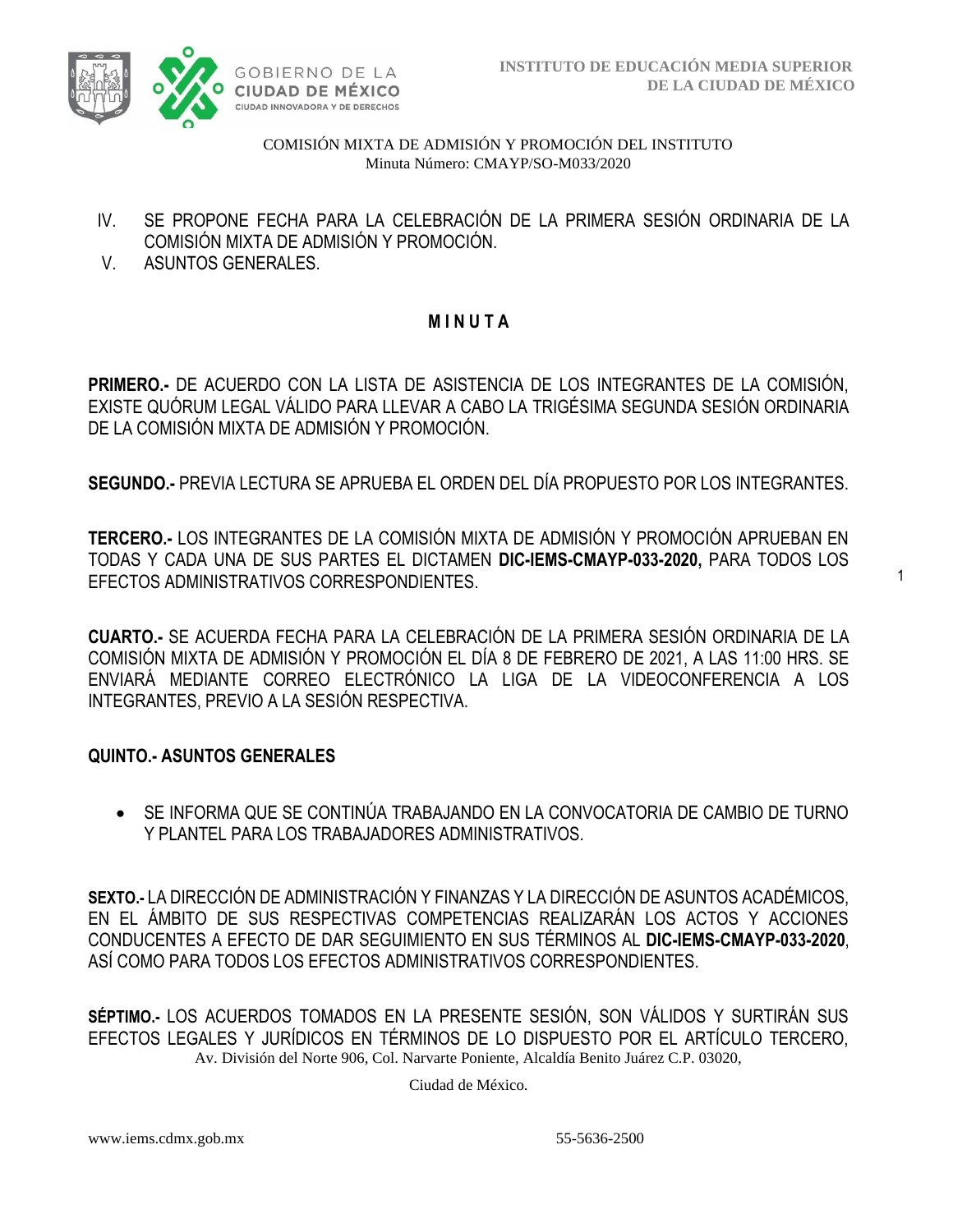

1

COMISIÓN MIXTA DE ADMISIÓN Y PROMOCIÓN DEL INSTITUTO Minuta Número: CMAYP/SO-M033/2020

- IV. SE PROPONE FECHA PARA LA CELEBRACIÓN DE LA PRIMERA SESIÓN ORDINARIA DE LA COMISIÓN MIXTA DE ADMISIÓN Y PROMOCIÓN.
- V. ASUNTOS GENERALES.

# **M I N U T A**

**PRIMERO.-** DE ACUERDO CON LA LISTA DE ASISTENCIA DE LOS INTEGRANTES DE LA COMISIÓN, EXISTE QUÓRUM LEGAL VÁLIDO PARA LLEVAR A CABO LA TRIGÉSIMA SEGUNDA SESIÓN ORDINARIA DE LA COMISIÓN MIXTA DE ADMISIÓN Y PROMOCIÓN.

**SEGUNDO.-** PREVIA LECTURA SE APRUEBA EL ORDEN DEL DÍA PROPUESTO POR LOS INTEGRANTES.

**TERCERO.-** LOS INTEGRANTES DE LA COMISIÓN MIXTA DE ADMISIÓN Y PROMOCIÓN APRUEBAN EN TODAS Y CADA UNA DE SUS PARTES EL DICTAMEN **DIC-IEMS-CMAYP-033-2020,** PARA TODOS LOS EFECTOS ADMINISTRATIVOS CORRESPONDIENTES.

**CUARTO.-** SE ACUERDA FECHA PARA LA CELEBRACIÓN DE LA PRIMERA SESIÓN ORDINARIA DE LA COMISIÓN MIXTA DE ADMISIÓN Y PROMOCIÓN EL DÍA 8 DE FEBRERO DE 2021, A LAS 11:00 HRS. SE ENVIARÁ MEDIANTE CORREO ELECTRÓNICO LA LIGA DE LA VIDEOCONFERENCIA A LOS INTEGRANTES, PREVIO A LA SESIÓN RESPECTIVA.

### **QUINTO.- ASUNTOS GENERALES**

• SE INFORMA QUE SE CONTINÚA TRABAJANDO EN LA CONVOCATORIA DE CAMBIO DE TURNO Y PLANTEL PARA LOS TRABAJADORES ADMINISTRATIVOS.

**SEXTO.-** LA DIRECCIÓN DE ADMINISTRACIÓN Y FINANZAS Y LA DIRECCIÓN DE ASUNTOS ACADÉMICOS, EN EL ÁMBITO DE SUS RESPECTIVAS COMPETENCIAS REALIZARÁN LOS ACTOS Y ACCIONES CONDUCENTES A EFECTO DE DAR SEGUIMIENTO EN SUS TÉRMINOS AL **DIC-IEMS-CMAYP-033-2020**, ASÍ COMO PARA TODOS LOS EFECTOS ADMINISTRATIVOS CORRESPONDIENTES.

Av. División del Norte 906, Col. Narvarte Poniente, Alcaldía Benito Juárez C.P. 03020, **SÉPTIMO.-** LOS ACUERDOS TOMADOS EN LA PRESENTE SESIÓN, SON VÁLIDOS Y SURTIRÁN SUS EFECTOS LEGALES Y JURÍDICOS EN TÉRMINOS DE LO DISPUESTO POR EL ARTÍCULO TERCERO,

Ciudad de México.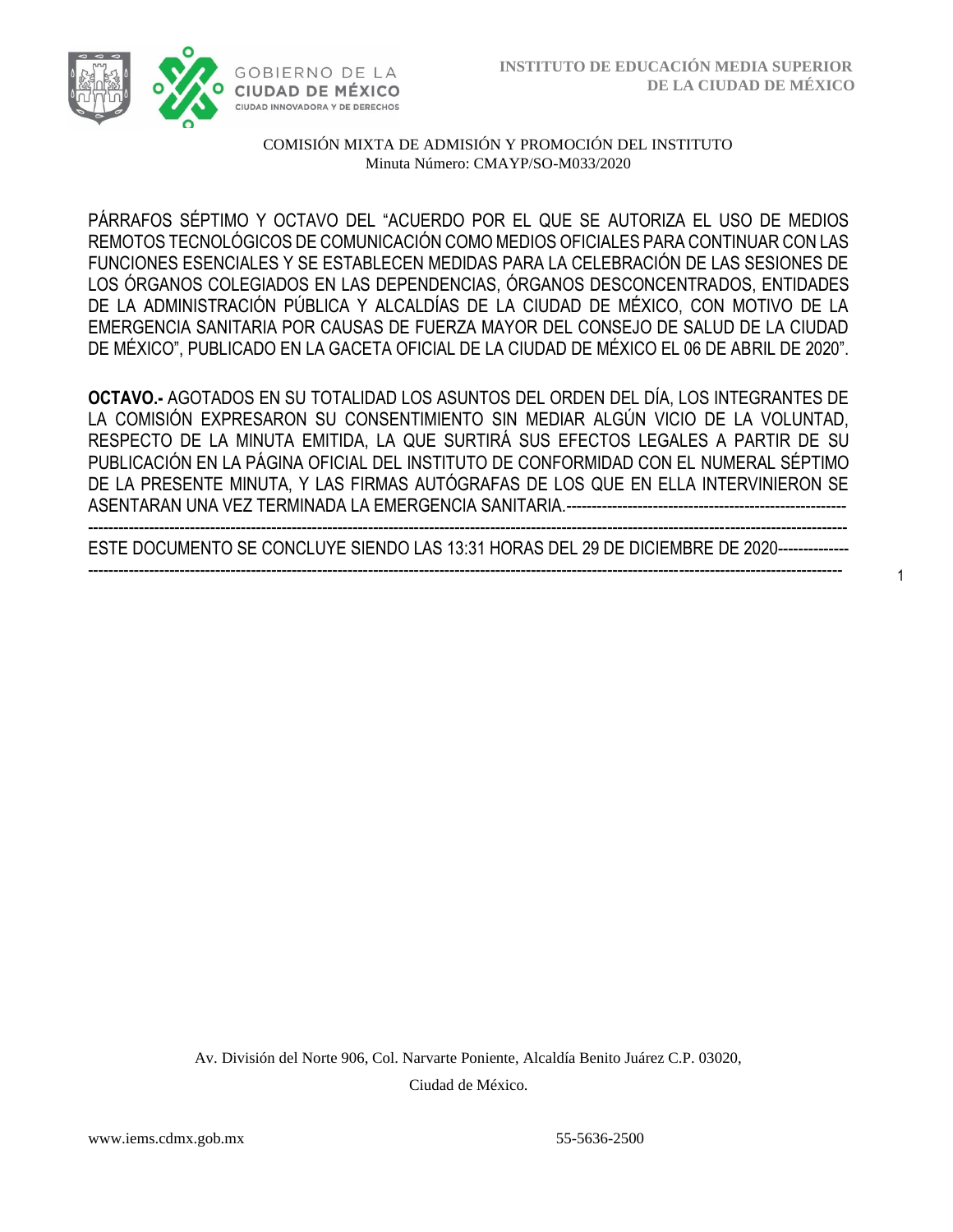

### COMISIÓN MIXTA DE ADMISIÓN Y PROMOCIÓN DEL INSTITUTO Minuta Número: CMAYP/SO-M033/2020

PÁRRAFOS SÉPTIMO Y OCTAVO DEL "ACUERDO POR EL QUE SE AUTORIZA EL USO DE MEDIOS REMOTOS TECNOLÓGICOS DE COMUNICACIÓN COMO MEDIOS OFICIALES PARA CONTINUAR CON LAS FUNCIONES ESENCIALES Y SE ESTABLECEN MEDIDAS PARA LA CELEBRACIÓN DE LAS SESIONES DE LOS ÓRGANOS COLEGIADOS EN LAS DEPENDENCIAS, ÓRGANOS DESCONCENTRADOS, ENTIDADES DE LA ADMINISTRACIÓN PÚBLICA Y ALCALDÍAS DE LA CIUDAD DE MÉXICO, CON MOTIVO DE LA EMERGENCIA SANITARIA POR CAUSAS DE FUERZA MAYOR DEL CONSEJO DE SALUD DE LA CIUDAD DE MÉXICO", PUBLICADO EN LA GACETA OFICIAL DE LA CIUDAD DE MÉXICO EL 06 DE ABRIL DE 2020".

**OCTAVO.-** AGOTADOS EN SU TOTALIDAD LOS ASUNTOS DEL ORDEN DEL DÍA, LOS INTEGRANTES DE LA COMISIÓN EXPRESARON SU CONSENTIMIENTO SIN MEDIAR ALGÚN VICIO DE LA VOLUNTAD, RESPECTO DE LA MINUTA EMITIDA, LA QUE SURTIRÁ SUS EFECTOS LEGALES A PARTIR DE SU PUBLICACIÓN EN LA PÁGINA OFICIAL DEL INSTITUTO DE CONFORMIDAD CON EL NUMERAL SÉPTIMO DE LA PRESENTE MINUTA, Y LAS FIRMAS AUTÓGRAFAS DE LOS QUE EN ELLA INTERVINIERON SE ASENTARAN UNA VEZ TERMINADA LA EMERGENCIA SANITARIA.---------

----------------------------------------------------------------------------------------------------------------------------------------------------- ESTE DOCUMENTO SE CONCLUYE SIENDO LAS 13:31 HORAS DEL 29 DE DICIEMBRE DE 2020-------------- ----------------------------------------------------------------------------------------------------------------------------------------------------

1

Av. División del Norte 906, Col. Narvarte Poniente, Alcaldía Benito Juárez C.P. 03020, Ciudad de México.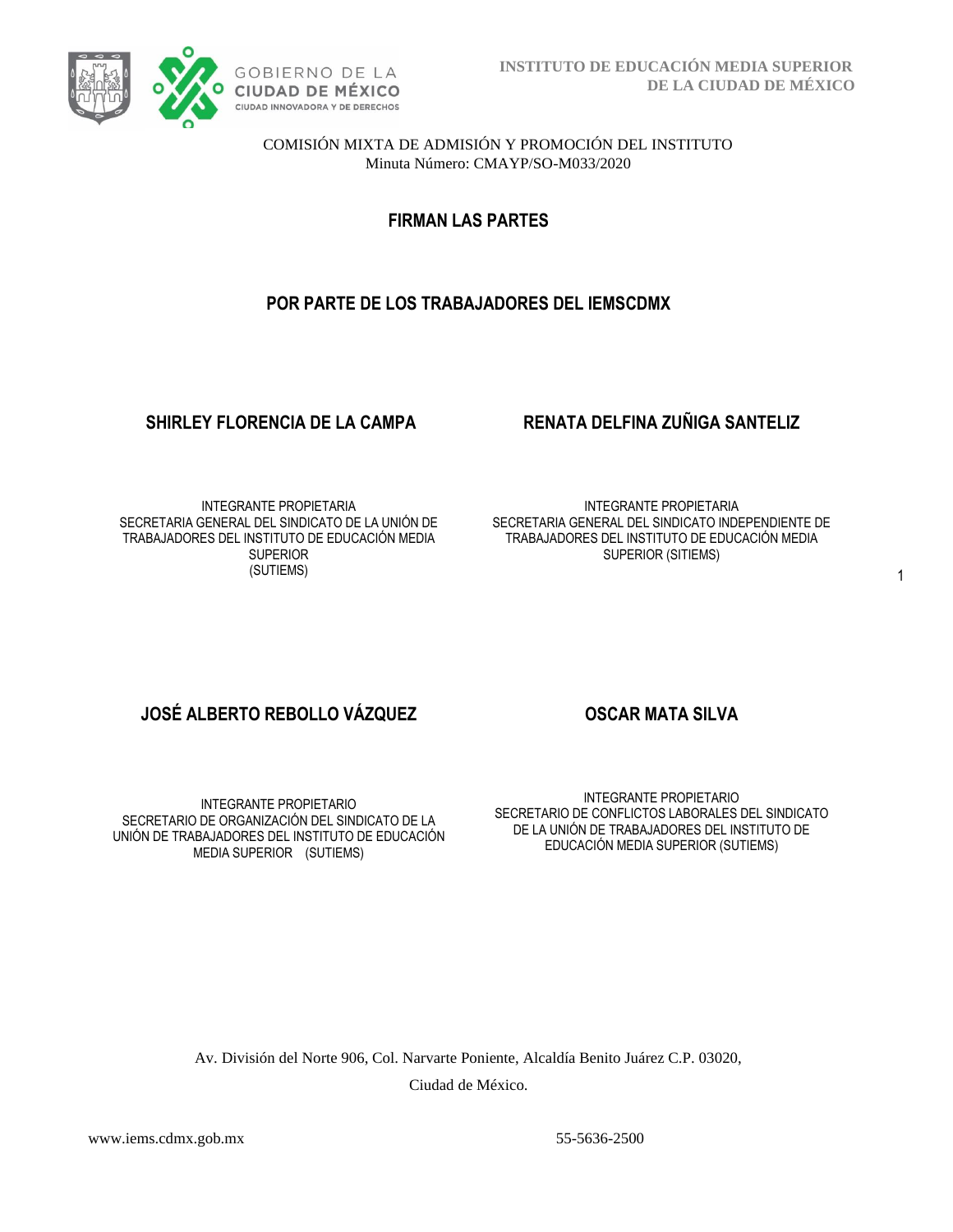

COMISIÓN MIXTA DE ADMISIÓN Y PROMOCIÓN DEL INSTITUTO Minuta Número: CMAYP/SO-M033/2020

**FIRMAN LAS PARTES**

# **POR PARTE DE LOS TRABAJADORES DEL IEMSCDMX**

### **SHIRLEY FLORENCIA DE LA CAMPA RENATA DELFINA ZUÑIGA SANTELIZ**

INTEGRANTE PROPIETARIA SECRETARIA GENERAL DEL SINDICATO DE LA UNIÓN DE TRABAJADORES DEL INSTITUTO DE EDUCACIÓN MEDIA **SUPERIOR** (SUTIEMS)

INTEGRANTE PROPIETARIA SECRETARIA GENERAL DEL SINDICATO INDEPENDIENTE DE TRABAJADORES DEL INSTITUTO DE EDUCACIÓN MEDIA SUPERIOR (SITIEMS)

# **JOSÉ ALBERTO REBOLLO VÁZQUEZ OSCAR MATA SILVA**

INTEGRANTE PROPIETARIO SECRETARIO DE ORGANIZACIÓN DEL SINDICATO DE LA UNIÓN DE TRABAJADORES DEL INSTITUTO DE EDUCACIÓN MEDIA SUPERIOR (SUTIEMS)

INTEGRANTE PROPIETARIO SECRETARIO DE CONFLICTOS LABORALES DEL SINDICATO DE LA UNIÓN DE TRABAJADORES DEL INSTITUTO DE EDUCACIÓN MEDIA SUPERIOR (SUTIEMS)

Av. División del Norte 906, Col. Narvarte Poniente, Alcaldía Benito Juárez C.P. 03020, Ciudad de México.